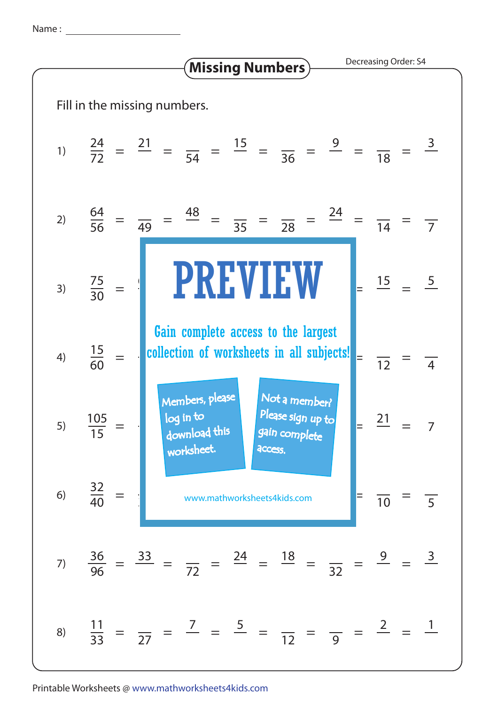Name :